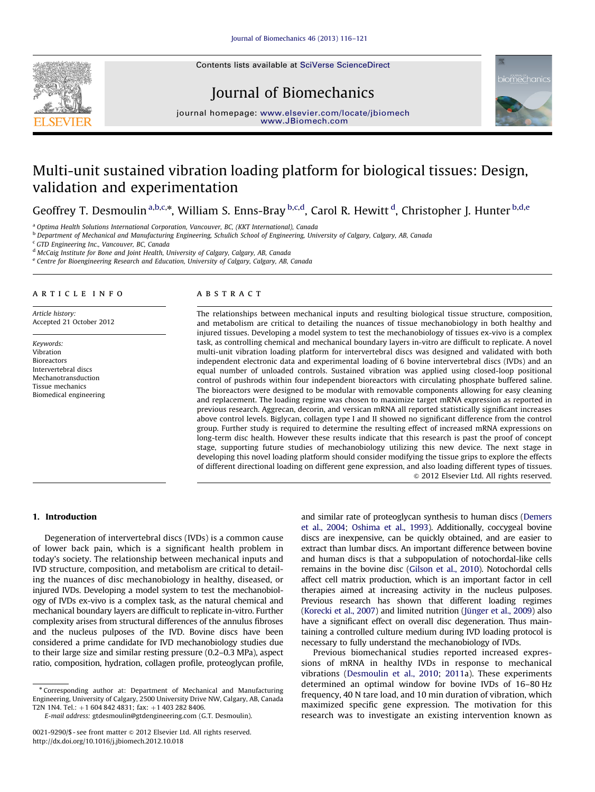Contents lists available at [SciVerse ScienceDirect](www.elsevier.com/locate/jbiomech)



# Journal of Biomechanics



journal home[page:](http://www.JBiomech.com) <www.elsevier.com/locate/jbiomech> [www.JBiomech.com](http://www.JBiomech.com)

# Multi-unit sustained vibration loading platform for biological tissues: Design, validation and experimentation

Geoffrey T. Desmoulin <sup>a,b,c,</sup>\*, William S. Enns-Bray <sup>b,c,d</sup>, Carol R. Hewitt <sup>d</sup>, Christopher J. Hunter <sup>b,d,e</sup>

<sup>a</sup> Optima Health Solutions International Corporation, Vancouver, BC, (KKT International), Canada

<sup>b</sup> Department of Mechanical and Manufacturing Engineering, Schulich School of Engineering, University of Calgary, Calgary, AB, Canada

<sup>c</sup> GTD Engineering Inc., Vancouver, BC, Canada

<sup>d</sup> McCaig Institute for Bone and Joint Health, University of Calgary, Calgary, AB, Canada

<sup>e</sup> Centre for Bioengineering Research and Education, University of Calgary, Calgary, AB, Canada

#### article info

Article history: Accepted 21 October 2012

Keywords: Vibration Bioreactors Intervertebral discs Mechanotransduction Tissue mechanics Biomedical engineering

# ABSTRACT

The relationships between mechanical inputs and resulting biological tissue structure, composition, and metabolism are critical to detailing the nuances of tissue mechanobiology in both healthy and injured tissues. Developing a model system to test the mechanobiology of tissues ex-vivo is a complex task, as controlling chemical and mechanical boundary layers in-vitro are difficult to replicate. A novel multi-unit vibration loading platform for intervertebral discs was designed and validated with both independent electronic data and experimental loading of 6 bovine intervertebral discs (IVDs) and an equal number of unloaded controls. Sustained vibration was applied using closed-loop positional control of pushrods within four independent bioreactors with circulating phosphate buffered saline. The bioreactors were designed to be modular with removable components allowing for easy cleaning and replacement. The loading regime was chosen to maximize target mRNA expression as reported in previous research. Aggrecan, decorin, and versican mRNA all reported statistically significant increases above control levels. Biglycan, collagen type I and II showed no significant difference from the control group. Further study is required to determine the resulting effect of increased mRNA expressions on long-term disc health. However these results indicate that this research is past the proof of concept stage, supporting future studies of mechanobiology utilizing this new device. The next stage in developing this novel loading platform should consider modifying the tissue grips to explore the effects of different directional loading on different gene expression, and also loading different types of tissues.  $\odot$  2012 Elsevier Ltd. All rights reserved.

# 1. Introduction

Degeneration of intervertebral discs (IVDs) is a common cause of lower back pain, which is a significant health problem in today's society. The relationship between mechanical inputs and IVD structure, composition, and metabolism are critical to detailing the nuances of disc mechanobiology in healthy, diseased, or injured IVDs. Developing a model system to test the mechanobiology of IVDs ex-vivo is a complex task, as the natural chemical and mechanical boundary layers are difficult to replicate in-vitro. Further complexity arises from structural differences of the annulus fibroses and the nucleus pulposes of the IVD. Bovine discs have been considered a prime candidate for IVD mechanobiology studies due to their large size and similar resting pressure (0.2–0.3 MPa), aspect ratio, composition, hydration, collagen profile, proteoglycan profile, and similar rate of proteoglycan synthesis to human discs [\(Demers](#page-5-0) [et al., 2004;](#page-5-0) [Oshima et al., 1993\)](#page-5-0). Additionally, coccygeal bovine discs are inexpensive, can be quickly obtained, and are easier to extract than lumbar discs. An important difference between bovine and human discs is that a subpopulation of notochordal-like cells remains in the bovine disc [\(Gilson et al., 2010](#page-5-0)). Notochordal cells affect cell matrix production, which is an important factor in cell therapies aimed at increasing activity in the nucleus pulposes. Previous research has shown that different loading regimes ([Korecki et al., 2007\)](#page-5-0) and limited nutrition (Jünger et al., 2009) also have a significant effect on overall disc degeneration. Thus maintaining a controlled culture medium during IVD loading protocol is necessary to fully understand the mechanobiology of IVDs.

Previous biomechanical studies reported increased expressions of mRNA in healthy IVDs in response to mechanical vibrations ([Desmoulin et al., 2010;](#page-5-0) [2011](#page-5-0)a). These experiments determined an optimal window for bovine IVDs of 16–80 Hz frequency, 40 N tare load, and 10 min duration of vibration, which maximized specific gene expression. The motivation for this research was to investigate an existing intervention known as

<sup>n</sup> Corresponding author at: Department of Mechanical and Manufacturing Engineering, University of Calgary, 2500 University Drive NW, Calgary, AB, Canada T2N 1N4. Tel.: +1 604 842 4831; fax: +1 403 282 8406.

E-mail address: [gtdesmoulin@gtdengineering.com \(G.T. Desmoulin\)](mailto:gtdesmoulin@gtdengineering.com).

<sup>0021-9290/\$ -</sup> see front matter @ 2012 Elsevier Ltd. All rights reserved. [http://dx.doi.org/10.1016/j.jbiomech.2012.10.018](dx.doi.org/10.1016/j.jbiomech.2012.10.018)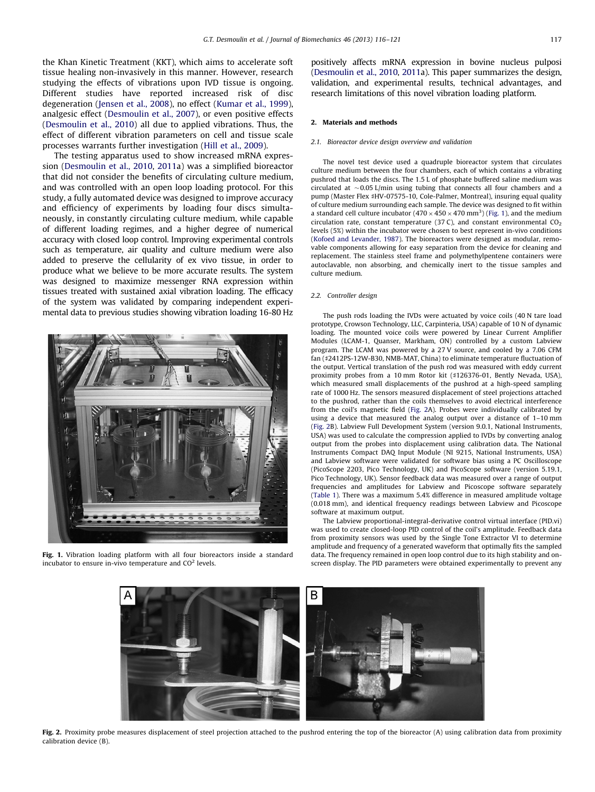the Khan Kinetic Treatment (KKT), which aims to accelerate soft tissue healing non-invasively in this manner. However, research studying the effects of vibrations upon IVD tissue is ongoing. Different studies have reported increased risk of disc degeneration ([Jensen et al., 2008\)](#page-5-0), no effect ([Kumar et al., 1999\)](#page-5-0), analgesic effect ([Desmoulin et al., 2007](#page-5-0)), or even positive effects ([Desmoulin et al., 2010](#page-5-0)) all due to applied vibrations. Thus, the effect of different vibration parameters on cell and tissue scale processes warrants further investigation [\(Hill et al., 2009\)](#page-5-0).

The testing apparatus used to show increased mRNA expression ([Desmoulin et al., 2010,](#page-5-0) [2011a](#page-5-0)) was a simplified bioreactor that did not consider the benefits of circulating culture medium, and was controlled with an open loop loading protocol. For this study, a fully automated device was designed to improve accuracy and efficiency of experiments by loading four discs simultaneously, in constantly circulating culture medium, while capable of different loading regimes, and a higher degree of numerical accuracy with closed loop control. Improving experimental controls such as temperature, air quality and culture medium were also added to preserve the cellularity of ex vivo tissue, in order to produce what we believe to be more accurate results. The system was designed to maximize messenger RNA expression within tissues treated with sustained axial vibration loading. The efficacy of the system was validated by comparing independent experimental data to previous studies showing vibration loading 16-80 Hz



Fig. 1. Vibration loading platform with all four bioreactors inside a standard incubator to ensure in-vivo temperature and  $CO<sup>2</sup>$  levels.

positively affects mRNA expression in bovine nucleus pulposi [\(Desmoulin et al., 2010](#page-5-0), [2011](#page-5-0)a). This paper summarizes the design, validation, and experimental results, technical advantages, and research limitations of this novel vibration loading platform.

#### 2. Materials and methods

#### 2.1. Bioreactor device design overview and validation

The novel test device used a quadruple bioreactor system that circulates culture medium between the four chambers, each of which contains a vibrating pushrod that loads the discs. The 1.5 L of phosphate buffered saline medium was circulated at  $\sim$  0.05 L/min using tubing that connects all four chambers and a pump (Master Flex #HV-07575-10, Cole-Palmer, Montreal), insuring equal quality of culture medium surrounding each sample. The device was designed to fit within a standard cell culture incubator (470  $\times$  450  $\times$  470 mm<sup>3</sup>) (Fig. 1), and the medium circulation rate, constant temperature (37 C), and constant environmental  $CO<sub>2</sub>$ levels (5%) within the incubator were chosen to best represent in-vivo conditions [\(Kofoed and Levander, 1987\)](#page-5-0). The bioreactors were designed as modular, removable components allowing for easy separation from the device for cleaning and replacement. The stainless steel frame and polymethylpentene containers were autoclavable, non absorbing, and chemically inert to the tissue samples and culture medium.

#### 2.2. Controller design

The push rods loading the IVDs were actuated by voice coils (40 N tare load prototype, Crowson Technology, LLC, Carpinteria, USA) capable of 10 N of dynamic loading. The mounted voice coils were powered by Linear Current Amplifier Modules (LCAM-1, Quanser, Markham, ON) controlled by a custom Labview program. The LCAM was powered by a 27 V source, and cooled by a 7.06 CFM fan (#2412PS-12W-B30, NMB-MAT, China) to eliminate temperature fluctuation of the output. Vertical translation of the push rod was measured with eddy current proximity probes from a 10 mm Rotor kit (#126376-01, Bently Nevada, USA), which measured small displacements of the pushrod at a high-speed sampling rate of 1000 Hz. The sensors measured displacement of steel projections attached to the pushrod, rather than the coils themselves to avoid electrical interference from the coil's magnetic field (Fig. 2A). Probes were individually calibrated by using a device that measured the analog output over a distance of 1–10 mm (Fig. 2B). Labview Full Development System (version 9.0.1, National Instruments, USA) was used to calculate the compression applied to IVDs by converting analog output from the probes into displacement using calibration data. The National Instruments Compact DAQ Input Module (NI 9215, National Instruments, USA) and Labview software were validated for software bias using a PC Oscilloscope (PicoScope 2203, Pico Technology, UK) and PicoScope software (version 5.19.1, Pico Technology, UK). Sensor feedback data was measured over a range of output frequencies and amplitudes for Labview and Picoscope software separately [\(Table 1\)](#page-2-0). There was a maximum 5.4% difference in measured amplitude voltage (0.018 mm), and identical frequency readings between Labview and Picoscope software at maximum output.

The Labview proportional-integral-derivative control virtual interface (PID.vi) was used to create closed-loop PID control of the coil's amplitude. Feedback data from proximity sensors was used by the Single Tone Extractor VI to determine amplitude and frequency of a generated waveform that optimally fits the sampled data. The frequency remained in open loop control due to its high stability and onscreen display. The PID parameters were obtained experimentally to prevent any



Fig. 2. Proximity probe measures displacement of steel projection attached to the pushrod entering the top of the bioreactor (A) using calibration data from proximity calibration device (B).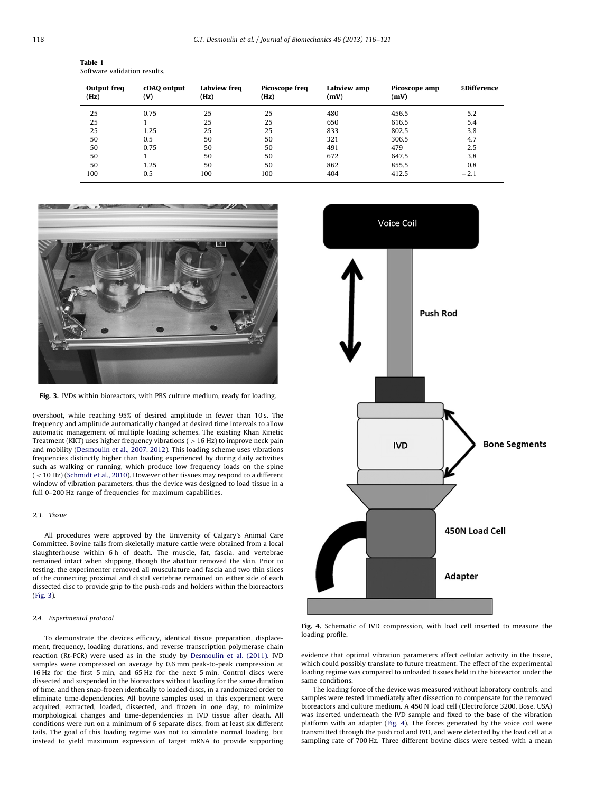<span id="page-2-0"></span>

| Table 1 |                              |  |
|---------|------------------------------|--|
|         | Software validation results. |  |

| Output freq<br>(Hz) | cDAQ output<br>(V) | Labview freq<br>(Hz) | <b>Picoscope freq</b><br>(Hz) | Labview amp<br>(mV) | Picoscope amp<br>(mV) | %Difference |
|---------------------|--------------------|----------------------|-------------------------------|---------------------|-----------------------|-------------|
| 25                  | 0.75               | 25                   | 25                            | 480                 | 456.5                 | 5.2         |
| 25                  |                    | 25                   | 25                            | 650                 | 616.5                 | 5.4         |
| 25                  | 1.25               | 25                   | 25                            | 833                 | 802.5                 | 3.8         |
| 50                  | 0.5                | 50                   | 50                            | 321                 | 306.5                 | 4.7         |
| 50                  | 0.75               | 50                   | 50                            | 491                 | 479                   | 2.5         |
| 50                  |                    | 50                   | 50                            | 672                 | 647.5                 | 3.8         |
| 50                  | 1.25               | 50                   | 50                            | 862                 | 855.5                 | 0.8         |
| 100                 | 0.5                | 100                  | 100                           | 404                 | 412.5                 | $-2.1$      |



Fig. 3. IVDs within bioreactors, with PBS culture medium, ready for loading.

overshoot, while reaching 95% of desired amplitude in fewer than 10 s. The frequency and amplitude automatically changed at desired time intervals to allow automatic management of multiple loading schemes. The existing Khan Kinetic Treatment (KKT) uses higher frequency vibrations ( $>16$  Hz) to improve neck pain and mobility ([Desmoulin et al., 2007,](#page-5-0) [2012\)](#page-5-0). This loading scheme uses vibrations frequencies distinctly higher than loading experienced by during daily activities such as walking or running, which produce low frequency loads on the spine  $($  < 10 Hz) [\(Schmidt et al., 2010](#page-5-0)). However other tissues may respond to a different window of vibration parameters, thus the device was designed to load tissue in a full 0–200 Hz range of frequencies for maximum capabilities.

# 2.3. Tissue

All procedures were approved by the University of Calgary's Animal Care Committee. Bovine tails from skeletally mature cattle were obtained from a local slaughterhouse within 6 h of death. The muscle, fat, fascia, and vertebrae remained intact when shipping, though the abattoir removed the skin. Prior to testing, the experimenter removed all musculature and fascia and two thin slices of the connecting proximal and distal vertebrae remained on either side of each dissected disc to provide grip to the push-rods and holders within the bioreactors (Fig. 3).

## 2.4. Experimental protocol

To demonstrate the devices efficacy, identical tissue preparation, displacement, frequency, loading durations, and reverse transcription polymerase chain reaction (Rt-PCR) were used as in the study by [Desmoulin et al. \(2011\).](#page-5-0) IVD samples were compressed on average by 0.6 mm peak-to-peak compression at 16 Hz for the first 5 min, and 65 Hz for the next 5 min. Control discs were dissected and suspended in the bioreactors without loading for the same duration of time, and then snap-frozen identically to loaded discs, in a randomized order to eliminate time-dependencies. All bovine samples used in this experiment were acquired, extracted, loaded, dissected, and frozen in one day, to minimize morphological changes and time-dependencies in IVD tissue after death. All conditions were run on a minimum of 6 separate discs, from at least six different tails. The goal of this loading regime was not to simulate normal loading, but instead to yield maximum expression of target mRNA to provide supporting



Fig. 4. Schematic of IVD compression, with load cell inserted to measure the loading profile.

evidence that optimal vibration parameters affect cellular activity in the tissue, which could possibly translate to future treatment. The effect of the experimental loading regime was compared to unloaded tissues held in the bioreactor under the same conditions.

The loading force of the device was measured without laboratory controls, and samples were tested immediately after dissection to compensate for the removed bioreactors and culture medium. A 450 N load cell (Electroforce 3200, Bose, USA) was inserted underneath the IVD sample and fixed to the base of the vibration platform with an adapter (Fig. 4). The forces generated by the voice coil were transmitted through the push rod and IVD, and were detected by the load cell at a sampling rate of 700 Hz. Three different bovine discs were tested with a mean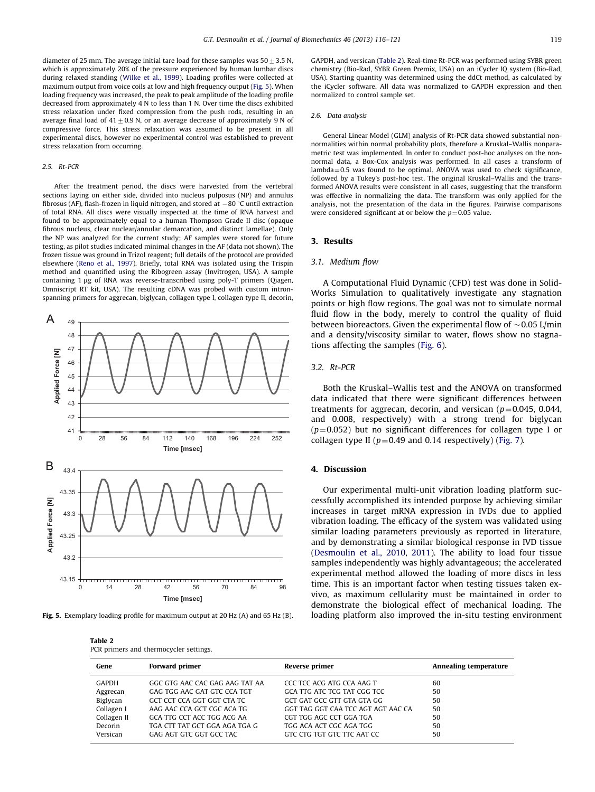diameter of 25 mm. The average initial tare load for these samples was  $50+3.5$  N which is approximately 20% of the pressure experienced by human lumbar discs during relaxed standing ([Wilke et al., 1999\)](#page-5-0). Loading profiles were collected at maximum output from voice coils at low and high frequency output (Fig. 5). When loading frequency was increased, the peak to peak amplitude of the loading profile decreased from approximately 4 N to less than 1 N. Over time the discs exhibited stress relaxation under fixed compression from the push rods, resulting in an average final load of  $41\pm0.9$  N, or an average decrease of approximately 9 N of compressive force. This stress relaxation was assumed to be present in all experimental discs, however no experimental control was established to prevent stress relaxation from occurring.

### 2.5. Rt-PCR

After the treatment period, the discs were harvested from the vertebral sections laying on either side, divided into nucleus pulposus (NP) and annulus fibrosus (AF), flash-frozen in liquid nitrogen, and stored at  $-80$  °C until extraction of total RNA. All discs were visually inspected at the time of RNA harvest and found to be approximately equal to a human Thompson Grade II disc (opaque fibrous nucleus, clear nuclear/annular demarcation, and distinct lamellae). Only the NP was analyzed for the current study; AF samples were stored for future testing, as pilot studies indicated minimal changes in the AF (data not shown). The frozen tissue was ground in Trizol reagent; full details of the protocol are provided elsewhere [\(Reno et al., 1997](#page-5-0)). Briefly, total RNA was isolated using the Trispin method and quantified using the Ribogreen assay (Invitrogen, USA). A sample containing 1 ug of RNA was reverse-transcribed using poly-T primers (Qiagen, Omniscript RT kit, USA). The resulting cDNA was probed with custom intronspanning primers for aggrecan, biglycan, collagen type I, collagen type II, decorin,



Fig. 5. Exemplary loading profile for maximum output at 20 Hz (A) and 65 Hz (B).

Table 2 PCR primers and thermocycler settings. GAPDH, and versican (Table 2). Real-time Rt-PCR was performed using SYBR green chemistry (Bio-Rad, SYBR Green Premix, USA) on an iCycler IQ system (Bio-Rad, USA). Starting quantity was determined using the ddCt method, as calculated by the iCycler software. All data was normalized to GAPDH expression and then normalized to control sample set.

#### 2.6. Data analysis

General Linear Model (GLM) analysis of Rt-PCR data showed substantial nonnormalities within normal probability plots, therefore a Kruskal–Wallis nonparametric test was implemented. In order to conduct post-hoc analyses on the nonnormal data, a Box-Cox analysis was performed. In all cases a transform of  $lambda=0.5$  was found to be optimal. ANOVA was used to check significance, followed by a Tukey's post-hoc test. The original Kruskal–Wallis and the transformed ANOVA results were consistent in all cases, suggesting that the transform was effective in normalizing the data. The transform was only applied for the analysis, not the presentation of the data in the figures. Pairwise comparisons were considered significant at or below the  $p=0.05$  value.

## 3. Results

#### 3.1. Medium flow

A Computational Fluid Dynamic (CFD) test was done in Solid-Works Simulation to qualitatively investigate any stagnation points or high flow regions. The goal was not to simulate normal fluid flow in the body, merely to control the quality of fluid between bioreactors. Given the experimental flow of  $\sim$  0.05 L/min and a density/viscosity similar to water, flows show no stagnations affecting the samples [\(Fig. 6](#page-4-0)).

## 3.2. Rt-PCR

Both the Kruskal–Wallis test and the ANOVA on transformed data indicated that there were significant differences between treatments for aggrecan, decorin, and versican ( $p=0.045$ , 0.044, and 0.008, respectively) with a strong trend for biglycan  $(p=0.052)$  but no significant differences for collagen type I or collagen type II ( $p=0.49$  and 0.14 respectively) ([Fig. 7\)](#page-4-0).

#### 4. Discussion

Our experimental multi-unit vibration loading platform successfully accomplished its intended purpose by achieving similar increases in target mRNA expression in IVDs due to applied vibration loading. The efficacy of the system was validated using similar loading parameters previously as reported in literature, and by demonstrating a similar biological response in IVD tissue ([Desmoulin et al., 2010,](#page-5-0) [2011](#page-5-0)). The ability to load four tissue samples independently was highly advantageous; the accelerated experimental method allowed the loading of more discs in less time. This is an important factor when testing tissues taken exvivo, as maximum cellularity must be maintained in order to demonstrate the biological effect of mechanical loading. The loading platform also improved the in-situ testing environment

| Gene        | <b>Forward primer</b>          | Reverse primer                     | Annealing temperature |
|-------------|--------------------------------|------------------------------------|-----------------------|
| GAPDH       | GGC GTG AAC CAC GAG AAG TAT AA | CCC TCC ACG ATG CCA AAG T          | 60                    |
| Aggrecan    | GAG TGG AAC GAT GTC CCA TGT    | GCA TTG ATC TCG TAT CGG TCC        | 50                    |
| Biglycan    | GCT CCT CCA GGT GGT CTA TC     | GCT GAT GCC GTT GTA GTA GG         | 50                    |
| Collagen I  | AAG AAC CCA GCT CGC ACA TG     | GGT TAG GGT CAA TCC AGT AGT AAC CA | 50                    |
| Collagen II | GCA TTG CCT ACC TGG ACG AA     | CGT TGG AGC CCT GGA TGA            | 50                    |
| Decorin     | TGA CTT TAT GCT GGA AGA TGA G  | TGG ACA ACT CGC AGA TGG            | 50                    |
| Versican    | GAG AGT GTC GGT GCC TAC        | GTC CTG TGT GTC TTC AAT CC         | 50                    |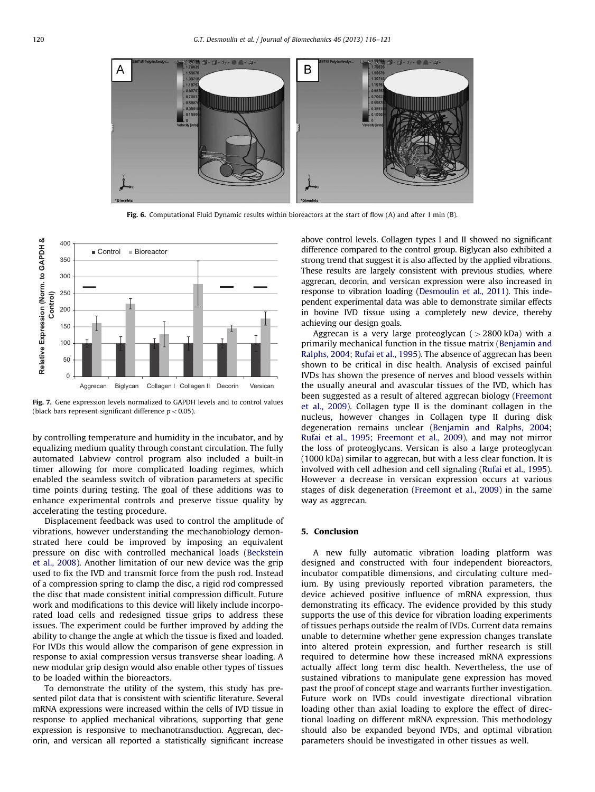<span id="page-4-0"></span>

Fig. 6. Computational Fluid Dynamic results within bioreactors at the start of flow (A) and after 1 min (B).



Fig. 7. Gene expression levels normalized to GAPDH levels and to control values (black bars represent significant difference  $p < 0.05$ ).

by controlling temperature and humidity in the incubator, and by equalizing medium quality through constant circulation. The fully automated Labview control program also included a built-in timer allowing for more complicated loading regimes, which enabled the seamless switch of vibration parameters at specific time points during testing. The goal of these additions was to enhance experimental controls and preserve tissue quality by accelerating the testing procedure.

Displacement feedback was used to control the amplitude of vibrations, however understanding the mechanobiology demonstrated here could be improved by imposing an equivalent pressure on disc with controlled mechanical loads [\(Beckstein](#page-5-0) [et al., 2008](#page-5-0)). Another limitation of our new device was the grip used to fix the IVD and transmit force from the push rod. Instead of a compression spring to clamp the disc, a rigid rod compressed the disc that made consistent initial compression difficult. Future work and modifications to this device will likely include incorporated load cells and redesigned tissue grips to address these issues. The experiment could be further improved by adding the ability to change the angle at which the tissue is fixed and loaded. For IVDs this would allow the comparison of gene expression in response to axial compression versus transverse shear loading. A new modular grip design would also enable other types of tissues to be loaded within the bioreactors.

To demonstrate the utility of the system, this study has presented pilot data that is consistent with scientific literature. Several mRNA expressions were increased within the cells of IVD tissue in response to applied mechanical vibrations, supporting that gene expression is responsive to mechanotransduction. Aggrecan, decorin, and versican all reported a statistically significant increase above control levels. Collagen types I and II showed no significant difference compared to the control group. Biglycan also exhibited a strong trend that suggest it is also affected by the applied vibrations. These results are largely consistent with previous studies, where aggrecan, decorin, and versican expression were also increased in response to vibration loading ([Desmoulin et al., 2011](#page-5-0)). This independent experimental data was able to demonstrate similar effects in bovine IVD tissue using a completely new device, thereby achieving our design goals.

Aggrecan is a very large proteoglycan ( $>$ 2800 kDa) with a primarily mechanical function in the tissue matrix ([Benjamin and](#page-5-0) [Ralphs, 2004](#page-5-0); [Rufai et al., 1995](#page-5-0)). The absence of aggrecan has been shown to be critical in disc health. Analysis of excised painful IVDs has shown the presence of nerves and blood vessels within the usually aneural and avascular tissues of the IVD, which has been suggested as a result of altered aggrecan biology [\(Freemont](#page-5-0) [et al., 2009](#page-5-0)). Collagen type II is the dominant collagen in the nucleus, however changes in Collagen type II during disk degeneration remains unclear ([Benjamin and Ralphs, 2004;](#page-5-0) [Rufai et al., 1995;](#page-5-0) [Freemont et al., 2009](#page-5-0)), and may not mirror the loss of proteoglycans. Versican is also a large proteoglycan (1000 kDa) similar to aggrecan, but with a less clear function. It is involved with cell adhesion and cell signaling ([Rufai et al., 1995\)](#page-5-0). However a decrease in versican expression occurs at various stages of disk degeneration [\(Freemont et al., 2009\)](#page-5-0) in the same way as aggrecan.

## 5. Conclusion

A new fully automatic vibration loading platform was designed and constructed with four independent bioreactors, incubator compatible dimensions, and circulating culture medium. By using previously reported vibration parameters, the device achieved positive influence of mRNA expression, thus demonstrating its efficacy. The evidence provided by this study supports the use of this device for vibration loading experiments of tissues perhaps outside the realm of IVDs. Current data remains unable to determine whether gene expression changes translate into altered protein expression, and further research is still required to determine how these increased mRNA expressions actually affect long term disc health. Nevertheless, the use of sustained vibrations to manipulate gene expression has moved past the proof of concept stage and warrants further investigation. Future work on IVDs could investigate directional vibration loading other than axial loading to explore the effect of directional loading on different mRNA expression. This methodology should also be expanded beyond IVDs, and optimal vibration parameters should be investigated in other tissues as well.